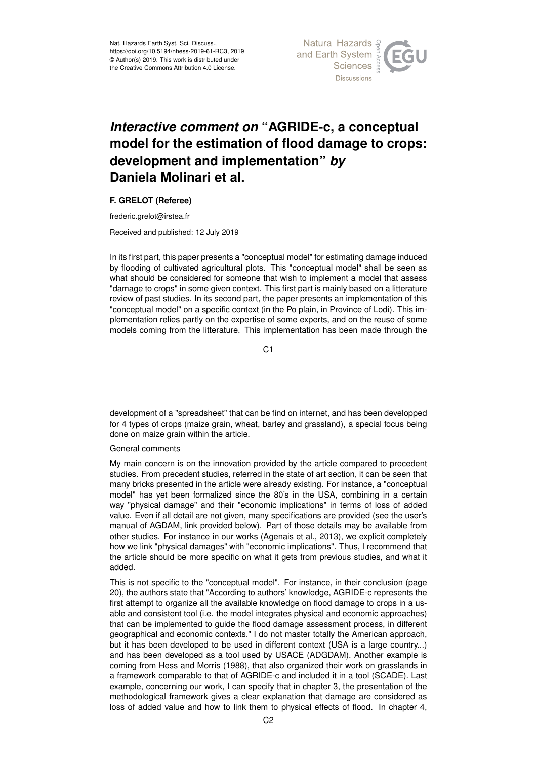

# *Interactive comment on* **"AGRIDE-c, a conceptual model for the estimation of flood damage to crops: development and implementation"** *by* **Daniela Molinari et al.**

## **F. GRELOT (Referee)**

frederic.grelot@irstea.fr

Received and published: 12 July 2019

In its first part, this paper presents a "conceptual model" for estimating damage induced by flooding of cultivated agricultural plots. This "conceptual model" shall be seen as what should be considered for someone that wish to implement a model that assess "damage to crops" in some given context. This first part is mainly based on a litterature review of past studies. In its second part, the paper presents an implementation of this "conceptual model" on a specific context (in the Po plain, in Province of Lodi). This implementation relies partly on the expertise of some experts, and on the reuse of some models coming from the litterature. This implementation has been made through the

C1

development of a "spreadsheet" that can be find on internet, and has been developped for 4 types of crops (maize grain, wheat, barley and grassland), a special focus being done on maize grain within the article.

## General comments

My main concern is on the innovation provided by the article compared to precedent studies. From precedent studies, referred in the state of art section, it can be seen that many bricks presented in the article were already existing. For instance, a "conceptual model" has yet been formalized since the 80's in the USA, combining in a certain way "physical damage" and their "economic implications" in terms of loss of added value. Even if all detail are not given, many specifications are provided (see the user's manual of AGDAM, link provided below). Part of those details may be available from other studies. For instance in our works (Agenais et al., 2013), we explicit completely how we link "physical damages" with "economic implications". Thus, I recommend that the article should be more specific on what it gets from previous studies, and what it added.

This is not specific to the "conceptual model". For instance, in their conclusion (page 20), the authors state that "According to authors' knowledge, AGRIDE-c represents the first attempt to organize all the available knowledge on flood damage to crops in a usable and consistent tool (i.e. the model integrates physical and economic approaches) that can be implemented to guide the flood damage assessment process, in different geographical and economic contexts." I do not master totally the American approach, but it has been developed to be used in different context (USA is a large country...) and has been developed as a tool used by USACE (ADGDAM). Another example is coming from Hess and Morris (1988), that also organized their work on grasslands in a framework comparable to that of AGRIDE-c and included it in a tool (SCADE). Last example, concerning our work, I can specify that in chapter 3, the presentation of the methodological framework gives a clear explanation that damage are considered as loss of added value and how to link them to physical effects of flood. In chapter 4,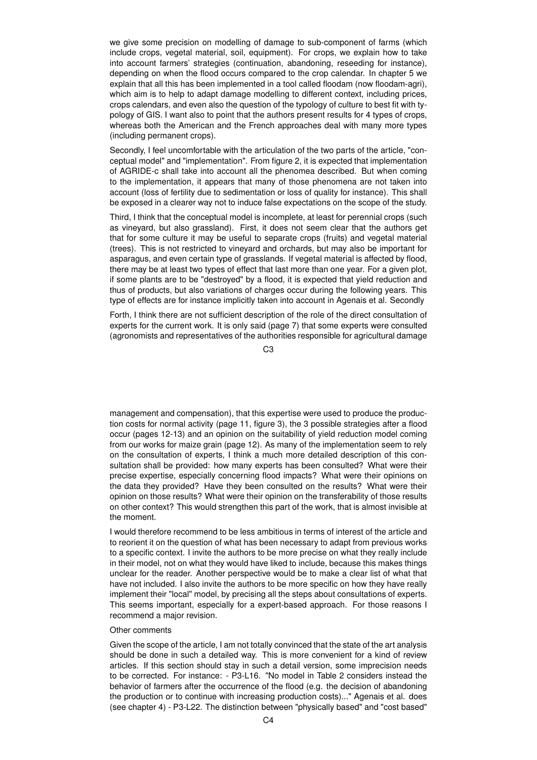we give some precision on modelling of damage to sub-component of farms (which include crops, vegetal material, soil, equipment). For crops, we explain how to take into account farmers' strategies (continuation, abandoning, reseeding for instance), depending on when the flood occurs compared to the crop calendar. In chapter 5 we explain that all this has been implemented in a tool called floodam (now floodam-agri), which aim is to help to adapt damage modelling to different context, including prices, crops calendars, and even also the question of the typology of culture to best fit with typology of GIS. I want also to point that the authors present results for 4 types of crops, whereas both the American and the French approaches deal with many more types (including permanent crops).

Secondly, I feel uncomfortable with the articulation of the two parts of the article, "conceptual model" and "implementation". From figure 2, it is expected that implementation of AGRIDE-c shall take into account all the phenomea described. But when coming to the implementation, it appears that many of those phenomena are not taken into account (loss of fertility due to sedimentation or loss of quality for instance). This shall be exposed in a clearer way not to induce false expectations on the scope of the study.

Third, I think that the conceptual model is incomplete, at least for perennial crops (such as vineyard, but also grassland). First, it does not seem clear that the authors get that for some culture it may be useful to separate crops (fruits) and vegetal material (trees). This is not restricted to vineyard and orchards, but may also be important for asparagus, and even certain type of grasslands. If vegetal material is affected by flood, there may be at least two types of effect that last more than one year. For a given plot, if some plants are to be "destroyed" by a flood, it is expected that yield reduction and thus of products, but also variations of charges occur during the following years. This type of effects are for instance implicitly taken into account in Agenais et al. Secondly

Forth, I think there are not sufficient description of the role of the direct consultation of experts for the current work. It is only said (page 7) that some experts were consulted (agronomists and representatives of the authorities responsible for agricultural damage

 $C<sub>3</sub>$ 

management and compensation), that this expertise were used to produce the production costs for normal activity (page 11, figure 3), the 3 possible strategies after a flood occur (pages 12-13) and an opinion on the suitability of yield reduction model coming from our works for maize grain (page 12). As many of the implementation seem to rely on the consultation of experts, I think a much more detailed description of this consultation shall be provided: how many experts has been consulted? What were their precise expertise, especially concerning flood impacts? What were their opinions on the data they provided? Have they been consulted on the results? What were their opinion on those results? What were their opinion on the transferability of those results on other context? This would strengthen this part of the work, that is almost invisible at the moment.

I would therefore recommend to be less ambitious in terms of interest of the article and to reorient it on the question of what has been necessary to adapt from previous works to a specific context. I invite the authors to be more precise on what they really include in their model, not on what they would have liked to include, because this makes things unclear for the reader. Another perspective would be to make a clear list of what that have not included. I also invite the authors to be more specific on how they have really implement their "local" model, by precising all the steps about consultations of experts. This seems important, especially for a expert-based approach. For those reasons I recommend a major revision.

#### Other comments

Given the scope of the article, I am not totally convinced that the state of the art analysis should be done in such a detailed way. This is more convenient for a kind of review articles. If this section should stay in such a detail version, some imprecision needs to be corrected. For instance: - P3-L16. "No model in Table 2 considers instead the behavior of farmers after the occurrence of the flood (e.g. the decision of abandoning the production or to continue with increasing production costs)..." Agenais et al. does (see chapter 4) - P3-L22. The distinction between "physically based" and "cost based"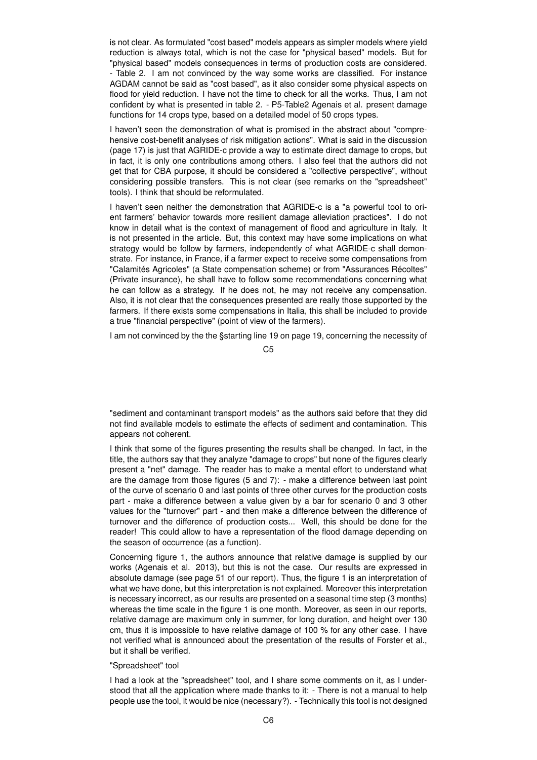is not clear. As formulated "cost based" models appears as simpler models where yield reduction is always total, which is not the case for "physical based" models. But for "physical based" models consequences in terms of production costs are considered. - Table 2. I am not convinced by the way some works are classified. For instance AGDAM cannot be said as "cost based", as it also consider some physical aspects on flood for yield reduction. I have not the time to check for all the works. Thus, I am not confident by what is presented in table 2. - P5-Table2 Agenais et al. present damage functions for 14 crops type, based on a detailed model of 50 crops types.

I haven't seen the demonstration of what is promised in the abstract about "comprehensive cost-benefit analyses of risk mitigation actions". What is said in the discussion (page 17) is just that AGRIDE-c provide a way to estimate direct damage to crops, but in fact, it is only one contributions among others. I also feel that the authors did not get that for CBA purpose, it should be considered a "collective perspective", without considering possible transfers. This is not clear (see remarks on the "spreadsheet" tools). I think that should be reformulated.

I haven't seen neither the demonstration that AGRIDE-c is a "a powerful tool to orient farmers' behavior towards more resilient damage alleviation practices". I do not know in detail what is the context of management of flood and agriculture in Italy. It is not presented in the article. But, this context may have some implications on what strategy would be follow by farmers, independently of what AGRIDE-c shall demonstrate. For instance, in France, if a farmer expect to receive some compensations from "Calamités Agricoles" (a State compensation scheme) or from "Assurances Récoltes" (Private insurance), he shall have to follow some recommendations concerning what he can follow as a strategy. If he does not, he may not receive any compensation. Also, it is not clear that the consequences presented are really those supported by the farmers. If there exists some compensations in Italia, this shall be included to provide a true "financial perspective" (point of view of the farmers).

I am not convinced by the the §starting line 19 on page 19, concerning the necessity of

### $C<sub>5</sub>$

"sediment and contaminant transport models" as the authors said before that they did not find available models to estimate the effects of sediment and contamination. This appears not coherent.

I think that some of the figures presenting the results shall be changed. In fact, in the title, the authors say that they analyze "damage to crops" but none of the figures clearly present a "net" damage. The reader has to make a mental effort to understand what are the damage from those figures (5 and 7): - make a difference between last point of the curve of scenario 0 and last points of three other curves for the production costs part - make a difference between a value given by a bar for scenario 0 and 3 other values for the "turnover" part - and then make a difference between the difference of turnover and the difference of production costs... Well, this should be done for the reader! This could allow to have a representation of the flood damage depending on the season of occurrence (as a function).

Concerning figure 1, the authors announce that relative damage is supplied by our works (Agenais et al. 2013), but this is not the case. Our results are expressed in absolute damage (see page 51 of our report). Thus, the figure 1 is an interpretation of what we have done, but this interpretation is not explained. Moreover this interpretation is necessary incorrect, as our results are presented on a seasonal time step (3 months) whereas the time scale in the figure 1 is one month. Moreover, as seen in our reports, relative damage are maximum only in summer, for long duration, and height over 130 cm, thus it is impossible to have relative damage of 100 % for any other case. I have not verified what is announced about the presentation of the results of Forster et al., but it shall be verified.

## "Spreadsheet" tool

I had a look at the "spreadsheet" tool, and I share some comments on it, as I understood that all the application where made thanks to it: - There is not a manual to help people use the tool, it would be nice (necessary?). - Technically this tool is not designed